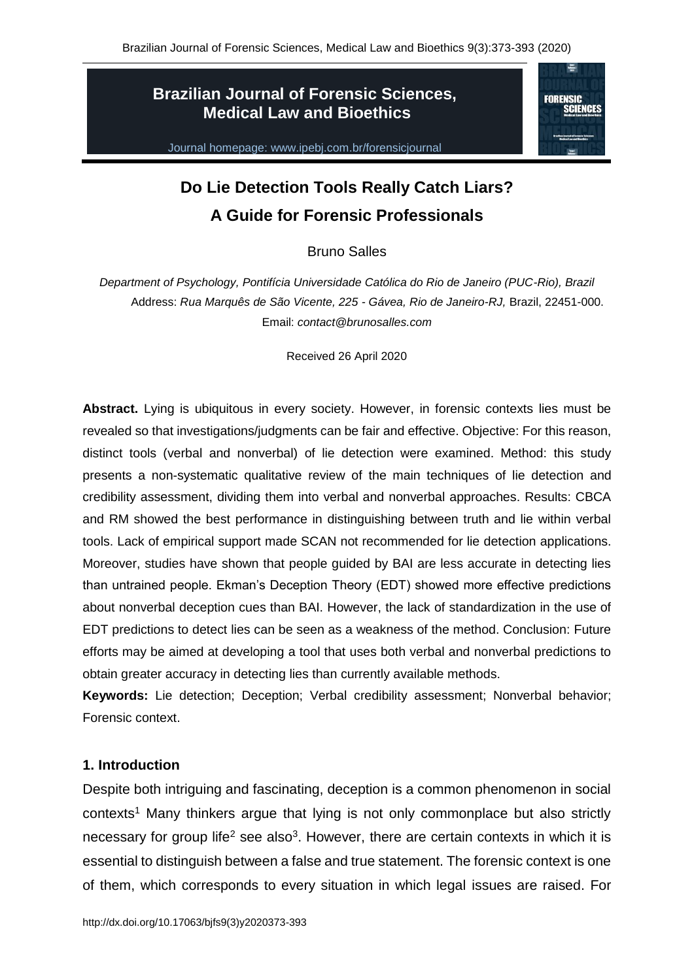# **Brazilian Journal of Forensic Sciences, Medical Law and Bioethics**

Journal homepage: www.ipebj.com.br/forensicjournal



# **Do Lie Detection Tools Really Catch Liars? A Guide for Forensic Professionals**

Bruno Salles

*Department of Psychology, Pontifícia Universidade Católica do Rio de Janeiro (PUC-Rio), Brazil* Address: *Rua Marquês de São Vicente, 225 - Gávea, Rio de Janeiro-RJ,* Brazil, 22451-000. Email: *contact@brunosalles.com*

Received 26 April 2020

**Abstract.** Lying is ubiquitous in every society. However, in forensic contexts lies must be revealed so that investigations/judgments can be fair and effective. Objective: For this reason, distinct tools (verbal and nonverbal) of lie detection were examined. Method: this study presents a non-systematic qualitative review of the main techniques of lie detection and credibility assessment, dividing them into verbal and nonverbal approaches. Results: CBCA and RM showed the best performance in distinguishing between truth and lie within verbal tools. Lack of empirical support made SCAN not recommended for lie detection applications. Moreover, studies have shown that people guided by BAI are less accurate in detecting lies than untrained people. Ekman's Deception Theory (EDT) showed more effective predictions about nonverbal deception cues than BAI. However, the lack of standardization in the use of EDT predictions to detect lies can be seen as a weakness of the method. Conclusion: Future efforts may be aimed at developing a tool that uses both verbal and nonverbal predictions to obtain greater accuracy in detecting lies than currently available methods.

**Keywords:** Lie detection; Deception; Verbal credibility assessment; Nonverbal behavior; Forensic context.

# **1. Introduction**

Despite both intriguing and fascinating, deception is a common phenomenon in social contexts<sup>1</sup> Many thinkers argue that lying is not only commonplace but also strictly necessary for group life<sup>2</sup> see also<sup>3</sup>. However, there are certain contexts in which it is essential to distinguish between a false and true statement. The forensic context is one of them, which corresponds to every situation in which legal issues are raised. For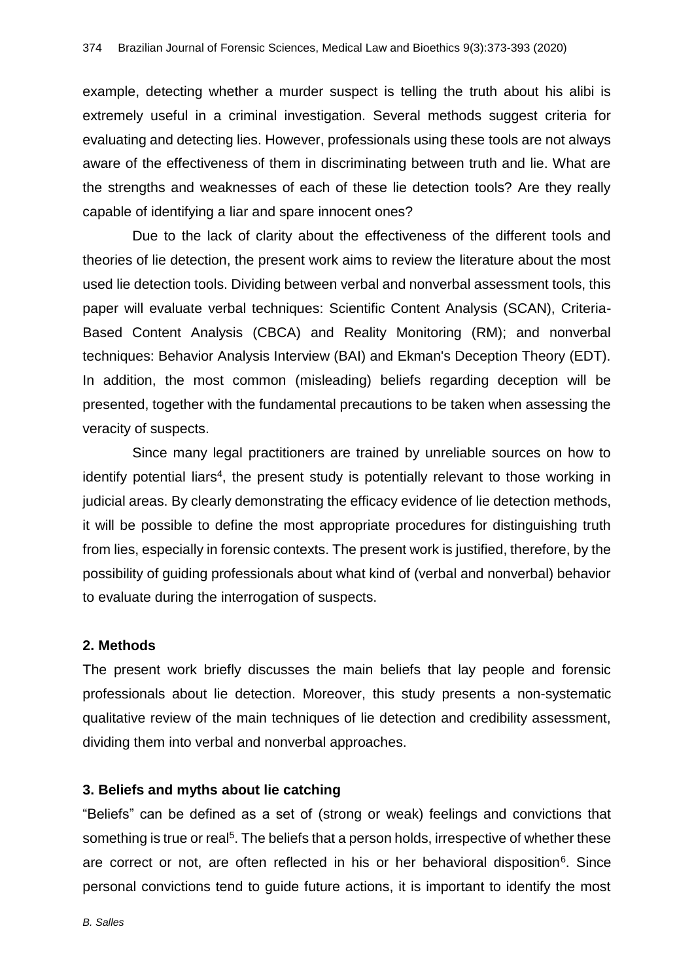example, detecting whether a murder suspect is telling the truth about his alibi is extremely useful in a criminal investigation. Several methods suggest criteria for evaluating and detecting lies. However, professionals using these tools are not always aware of the effectiveness of them in discriminating between truth and lie. What are the strengths and weaknesses of each of these lie detection tools? Are they really capable of identifying a liar and spare innocent ones?

Due to the lack of clarity about the effectiveness of the different tools and theories of lie detection, the present work aims to review the literature about the most used lie detection tools. Dividing between verbal and nonverbal assessment tools, this paper will evaluate verbal techniques: Scientific Content Analysis (SCAN), Criteria-Based Content Analysis (CBCA) and Reality Monitoring (RM); and nonverbal techniques: Behavior Analysis Interview (BAI) and Ekman's Deception Theory (EDT). In addition, the most common (misleading) beliefs regarding deception will be presented, together with the fundamental precautions to be taken when assessing the veracity of suspects.

Since many legal practitioners are trained by unreliable sources on how to identify potential liars<sup>4</sup>, the present study is potentially relevant to those working in judicial areas. By clearly demonstrating the efficacy evidence of lie detection methods, it will be possible to define the most appropriate procedures for distinguishing truth from lies, especially in forensic contexts. The present work is justified, therefore, by the possibility of guiding professionals about what kind of (verbal and nonverbal) behavior to evaluate during the interrogation of suspects.

# **2. Methods**

The present work briefly discusses the main beliefs that lay people and forensic professionals about lie detection. Moreover, this study presents a non-systematic qualitative review of the main techniques of lie detection and credibility assessment, dividing them into verbal and nonverbal approaches.

# **3. Beliefs and myths about lie catching**

"Beliefs" can be defined as a set of (strong or weak) feelings and convictions that something is true or real<sup>5</sup>. The beliefs that a person holds, irrespective of whether these are correct or not, are often reflected in his or her behavioral disposition<sup>6</sup>. Since personal convictions tend to guide future actions, it is important to identify the most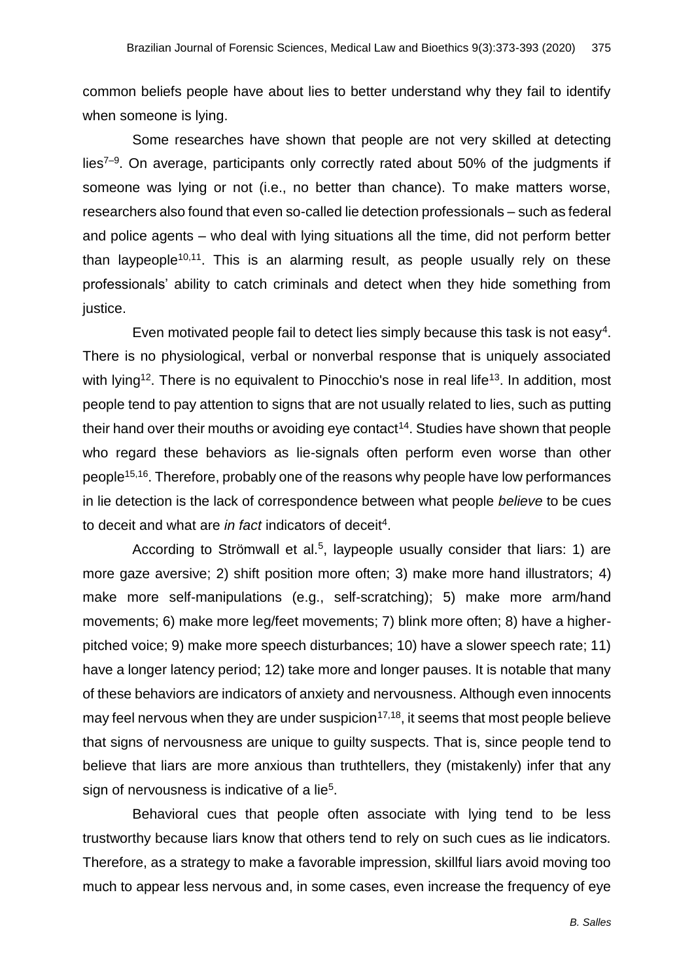common beliefs people have about lies to better understand why they fail to identify when someone is lying.

Some researches have shown that people are not very skilled at detecting lies<sup>7–9</sup>. On average, participants only correctly rated about 50% of the judgments if someone was lying or not (i.e., no better than chance). To make matters worse, researchers also found that even so-called lie detection professionals – such as federal and police agents – who deal with lying situations all the time, did not perform better than laypeople<sup>10,11</sup>. This is an alarming result, as people usually rely on these professionals' ability to catch criminals and detect when they hide something from justice.

Even motivated people fail to detect lies simply because this task is not easy<sup>4</sup>. There is no physiological, verbal or nonverbal response that is uniquely associated with lying<sup>12</sup>. There is no equivalent to Pinocchio's nose in real life<sup>13</sup>. In addition, most people tend to pay attention to signs that are not usually related to lies, such as putting their hand over their mouths or avoiding eye contact<sup>14</sup>. Studies have shown that people who regard these behaviors as lie-signals often perform even worse than other people<sup>15,16</sup>. Therefore, probably one of the reasons why people have low performances in lie detection is the lack of correspondence between what people *believe* to be cues to deceit and what are in fact indicators of deceit<sup>4</sup>.

According to Strömwall et al.<sup>5</sup>, laypeople usually consider that liars: 1) are more gaze aversive; 2) shift position more often; 3) make more hand illustrators; 4) make more self-manipulations (e.g., self-scratching); 5) make more arm/hand movements; 6) make more leg/feet movements; 7) blink more often; 8) have a higherpitched voice; 9) make more speech disturbances; 10) have a slower speech rate; 11) have a longer latency period; 12) take more and longer pauses. It is notable that many of these behaviors are indicators of anxiety and nervousness. Although even innocents may feel nervous when they are under suspicion $17,18$ , it seems that most people believe that signs of nervousness are unique to guilty suspects. That is, since people tend to believe that liars are more anxious than truthtellers, they (mistakenly) infer that any sign of nervousness is indicative of a lie<sup>5</sup>.

Behavioral cues that people often associate with lying tend to be less trustworthy because liars know that others tend to rely on such cues as lie indicators. Therefore, as a strategy to make a favorable impression, skillful liars avoid moving too much to appear less nervous and, in some cases, even increase the frequency of eye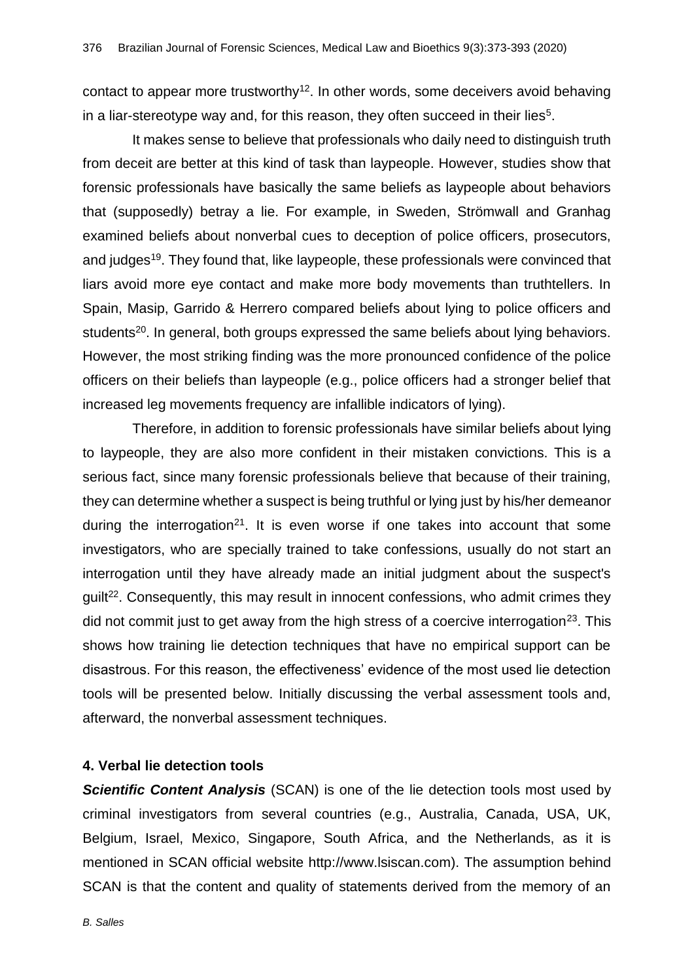contact to appear more trustworthy<sup>12</sup>. In other words, some deceivers avoid behaving in a liar-stereotype way and, for this reason, they often succeed in their lies<sup>5</sup>.

It makes sense to believe that professionals who daily need to distinguish truth from deceit are better at this kind of task than laypeople. However, studies show that forensic professionals have basically the same beliefs as laypeople about behaviors that (supposedly) betray a lie. For example, in Sweden, Strömwall and Granhag examined beliefs about nonverbal cues to deception of police officers, prosecutors, and judges<sup>19</sup>. They found that, like laypeople, these professionals were convinced that liars avoid more eye contact and make more body movements than truthtellers. In Spain, Masip, Garrido & Herrero compared beliefs about lying to police officers and students<sup>20</sup>. In general, both groups expressed the same beliefs about lying behaviors. However, the most striking finding was the more pronounced confidence of the police officers on their beliefs than laypeople (e.g., police officers had a stronger belief that increased leg movements frequency are infallible indicators of lying).

Therefore, in addition to forensic professionals have similar beliefs about lying to laypeople, they are also more confident in their mistaken convictions. This is a serious fact, since many forensic professionals believe that because of their training, they can determine whether a suspect is being truthful or lying just by his/her demeanor during the interrogation<sup>21</sup>. It is even worse if one takes into account that some investigators, who are specially trained to take confessions, usually do not start an interrogation until they have already made an initial judgment about the suspect's guilt<sup>22</sup>. Consequently, this may result in innocent confessions, who admit crimes they did not commit just to get away from the high stress of a coercive interrogation<sup>23</sup>. This shows how training lie detection techniques that have no empirical support can be disastrous. For this reason, the effectiveness' evidence of the most used lie detection tools will be presented below. Initially discussing the verbal assessment tools and, afterward, the nonverbal assessment techniques.

#### **4. Verbal lie detection tools**

**Scientific Content Analysis** (SCAN) is one of the lie detection tools most used by criminal investigators from several countries (e.g., Australia, Canada, USA, UK, Belgium, Israel, Mexico, Singapore, South Africa, and the Netherlands, as it is mentioned in SCAN official website http://www.lsiscan.com). The assumption behind SCAN is that the content and quality of statements derived from the memory of an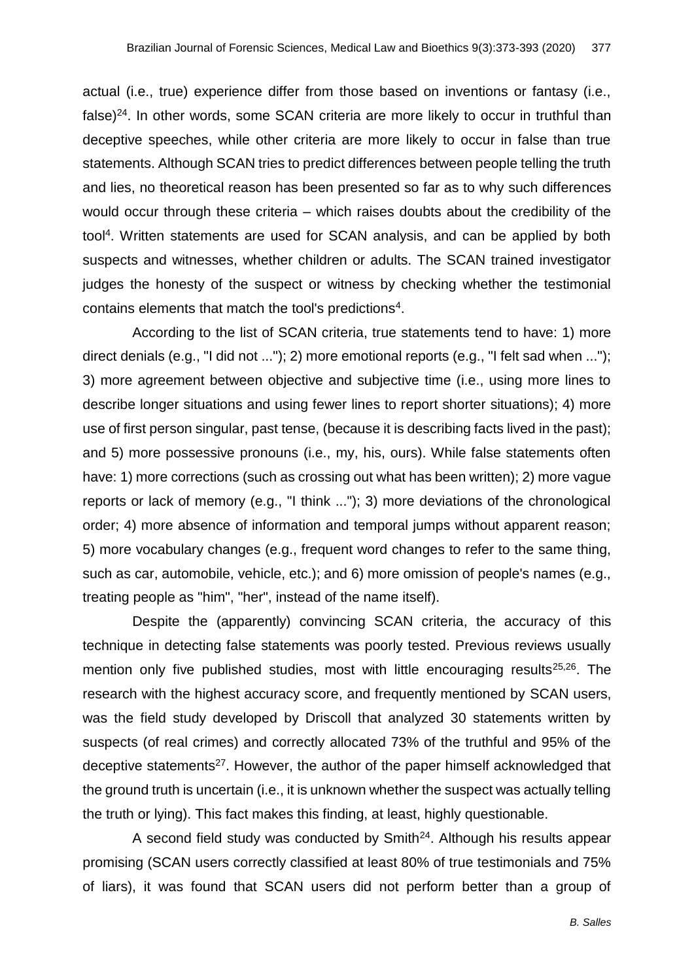actual (i.e., true) experience differ from those based on inventions or fantasy (i.e., false) $24$ . In other words, some SCAN criteria are more likely to occur in truthful than deceptive speeches, while other criteria are more likely to occur in false than true statements. Although SCAN tries to predict differences between people telling the truth and lies, no theoretical reason has been presented so far as to why such differences would occur through these criteria – which raises doubts about the credibility of the tool<sup>4</sup>. Written statements are used for SCAN analysis, and can be applied by both suspects and witnesses, whether children or adults. The SCAN trained investigator judges the honesty of the suspect or witness by checking whether the testimonial contains elements that match the tool's predictions<sup>4</sup>.

According to the list of SCAN criteria, true statements tend to have: 1) more direct denials (e.g., "I did not ..."); 2) more emotional reports (e.g., "I felt sad when ..."); 3) more agreement between objective and subjective time (i.e., using more lines to describe longer situations and using fewer lines to report shorter situations); 4) more use of first person singular, past tense, (because it is describing facts lived in the past); and 5) more possessive pronouns (i.e., my, his, ours). While false statements often have: 1) more corrections (such as crossing out what has been written); 2) more vague reports or lack of memory (e.g., "I think ..."); 3) more deviations of the chronological order; 4) more absence of information and temporal jumps without apparent reason; 5) more vocabulary changes (e.g., frequent word changes to refer to the same thing, such as car, automobile, vehicle, etc.); and 6) more omission of people's names (e.g., treating people as "him", "her", instead of the name itself).

Despite the (apparently) convincing SCAN criteria, the accuracy of this technique in detecting false statements was poorly tested. Previous reviews usually mention only five published studies, most with little encouraging results<sup>25,26</sup>. The research with the highest accuracy score, and frequently mentioned by SCAN users, was the field study developed by Driscoll that analyzed 30 statements written by suspects (of real crimes) and correctly allocated 73% of the truthful and 95% of the deceptive statements<sup>27</sup>. However, the author of the paper himself acknowledged that the ground truth is uncertain (i.e., it is unknown whether the suspect was actually telling the truth or lying). This fact makes this finding, at least, highly questionable.

A second field study was conducted by Smith<sup>24</sup>. Although his results appear promising (SCAN users correctly classified at least 80% of true testimonials and 75% of liars), it was found that SCAN users did not perform better than a group of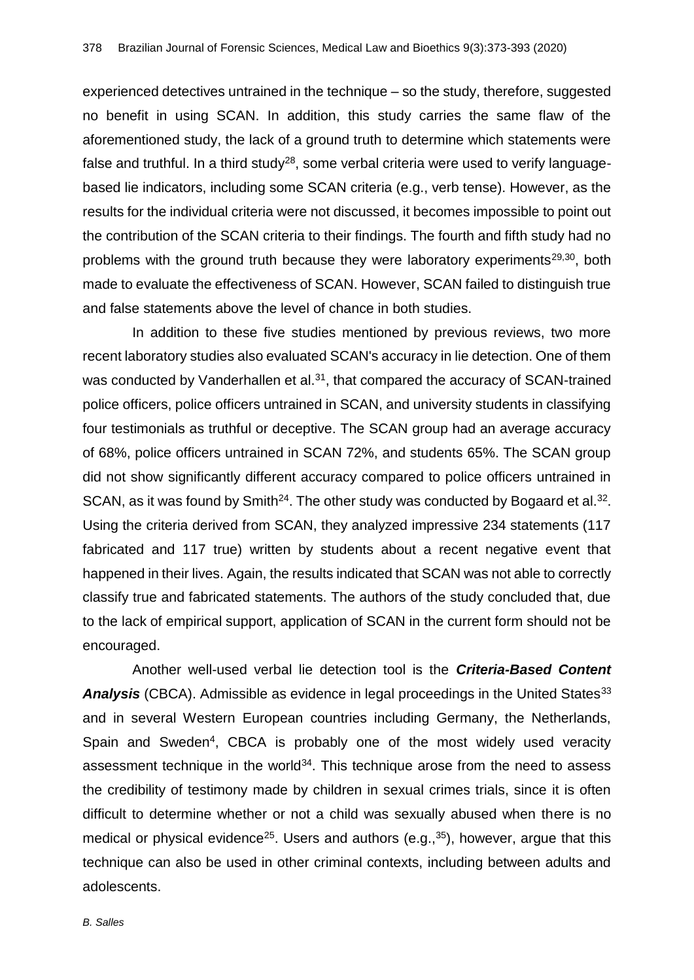experienced detectives untrained in the technique – so the study, therefore, suggested no benefit in using SCAN. In addition, this study carries the same flaw of the aforementioned study, the lack of a ground truth to determine which statements were false and truthful. In a third study<sup>28</sup>, some verbal criteria were used to verify languagebased lie indicators, including some SCAN criteria (e.g., verb tense). However, as the results for the individual criteria were not discussed, it becomes impossible to point out the contribution of the SCAN criteria to their findings. The fourth and fifth study had no problems with the ground truth because they were laboratory experiments<sup>29,30</sup>, both made to evaluate the effectiveness of SCAN. However, SCAN failed to distinguish true and false statements above the level of chance in both studies.

In addition to these five studies mentioned by previous reviews, two more recent laboratory studies also evaluated SCAN's accuracy in lie detection. One of them was conducted by Vanderhallen et al.<sup>31</sup>, that compared the accuracy of SCAN-trained police officers, police officers untrained in SCAN, and university students in classifying four testimonials as truthful or deceptive. The SCAN group had an average accuracy of 68%, police officers untrained in SCAN 72%, and students 65%. The SCAN group did not show significantly different accuracy compared to police officers untrained in SCAN, as it was found by Smith<sup>24</sup>. The other study was conducted by Bogaard et al.<sup>32</sup>. Using the criteria derived from SCAN, they analyzed impressive 234 statements (117 fabricated and 117 true) written by students about a recent negative event that happened in their lives. Again, the results indicated that SCAN was not able to correctly classify true and fabricated statements. The authors of the study concluded that, due to the lack of empirical support, application of SCAN in the current form should not be encouraged.

Another well-used verbal lie detection tool is the *Criteria-Based Content*  Analysis (CBCA). Admissible as evidence in legal proceedings in the United States<sup>33</sup> and in several Western European countries including Germany, the Netherlands, Spain and Sweden<sup>4</sup>, CBCA is probably one of the most widely used veracity assessment technique in the world $34$ . This technique arose from the need to assess the credibility of testimony made by children in sexual crimes trials, since it is often difficult to determine whether or not a child was sexually abused when there is no medical or physical evidence<sup>25</sup>. Users and authors (e.g.,<sup>35</sup>), however, argue that this technique can also be used in other criminal contexts, including between adults and adolescents.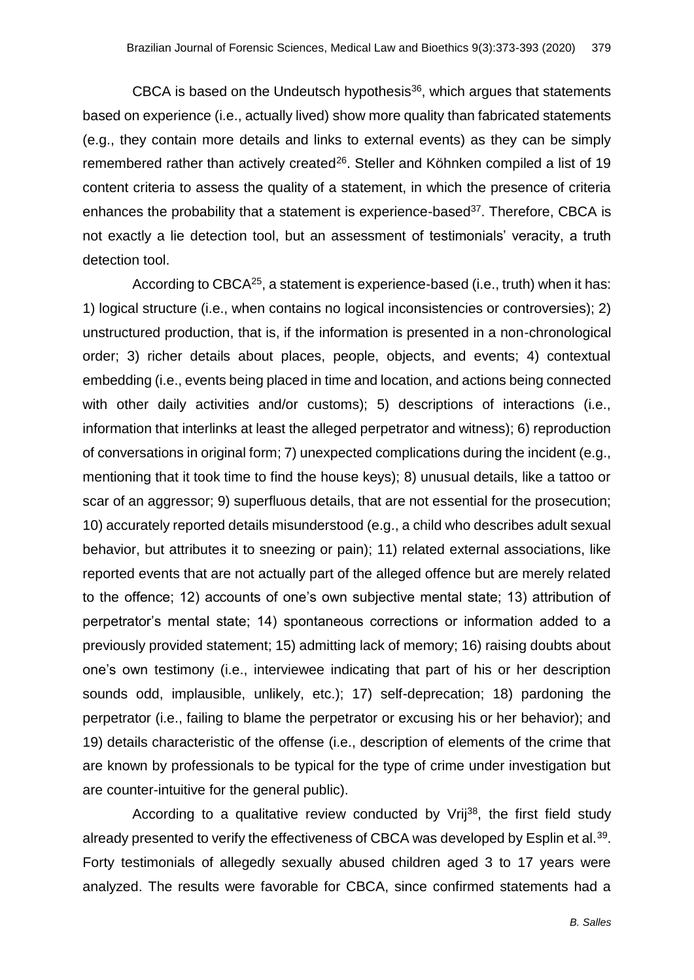CBCA is based on the Undeutsch hypothesis $36$ , which argues that statements based on experience (i.e., actually lived) show more quality than fabricated statements (e.g., they contain more details and links to external events) as they can be simply remembered rather than actively created<sup>26</sup>. Steller and Köhnken compiled a list of 19 content criteria to assess the quality of a statement, in which the presence of criteria enhances the probability that a statement is experience-based<sup>37</sup>. Therefore, CBCA is not exactly a lie detection tool, but an assessment of testimonials' veracity, a truth detection tool.

According to CBCA<sup>25</sup>, a statement is experience-based (i.e., truth) when it has: 1) logical structure (i.e., when contains no logical inconsistencies or controversies); 2) unstructured production, that is, if the information is presented in a non-chronological order; 3) richer details about places, people, objects, and events; 4) contextual embedding (i.e., events being placed in time and location, and actions being connected with other daily activities and/or customs); 5) descriptions of interactions (i.e., information that interlinks at least the alleged perpetrator and witness); 6) reproduction of conversations in original form; 7) unexpected complications during the incident (e.g., mentioning that it took time to find the house keys); 8) unusual details, like a tattoo or scar of an aggressor; 9) superfluous details, that are not essential for the prosecution; 10) accurately reported details misunderstood (e.g., a child who describes adult sexual behavior, but attributes it to sneezing or pain); 11) related external associations, like reported events that are not actually part of the alleged offence but are merely related to the offence; 12) accounts of one's own subjective mental state; 13) attribution of perpetrator's mental state; 14) spontaneous corrections or information added to a previously provided statement; 15) admitting lack of memory; 16) raising doubts about one's own testimony (i.e., interviewee indicating that part of his or her description sounds odd, implausible, unlikely, etc.); 17) self-deprecation; 18) pardoning the perpetrator (i.e., failing to blame the perpetrator or excusing his or her behavior); and 19) details characteristic of the offense (i.e., description of elements of the crime that are known by professionals to be typical for the type of crime under investigation but are counter-intuitive for the general public).

According to a qualitative review conducted by Vrij<sup>38</sup>, the first field study already presented to verify the effectiveness of CBCA was developed by Esplin et al.<sup>39</sup>. Forty testimonials of allegedly sexually abused children aged 3 to 17 years were analyzed. The results were favorable for CBCA, since confirmed statements had a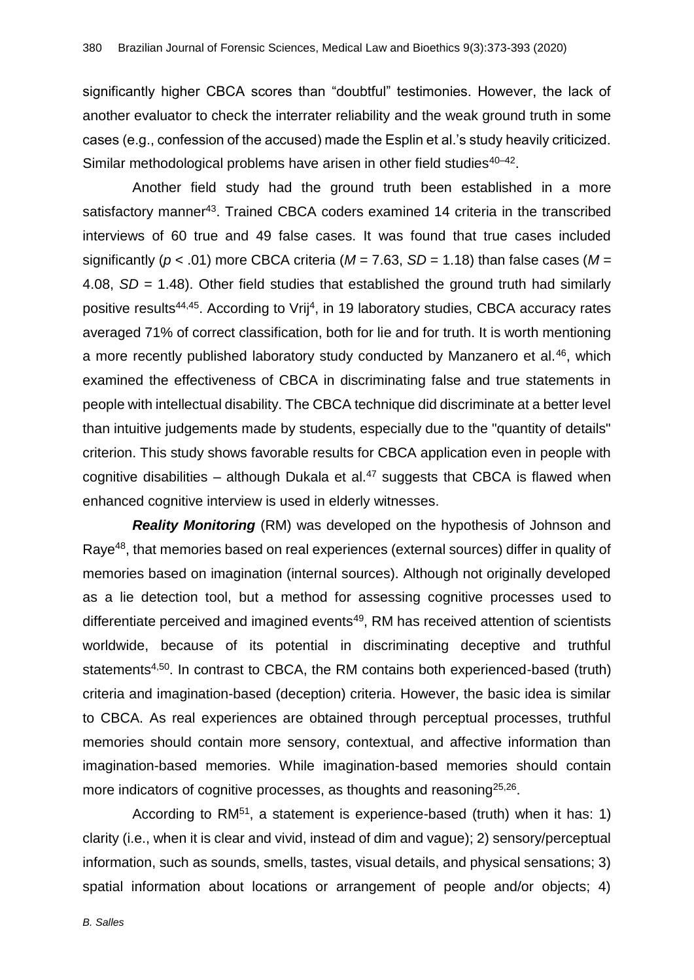significantly higher CBCA scores than "doubtful" testimonies. However, the lack of another evaluator to check the interrater reliability and the weak ground truth in some cases (e.g., confession of the accused) made the Esplin et al.'s study heavily criticized. Similar methodological problems have arisen in other field studies<sup>40-42</sup>.

Another field study had the ground truth been established in a more satisfactory manner<sup>43</sup>. Trained CBCA coders examined 14 criteria in the transcribed interviews of 60 true and 49 false cases. It was found that true cases included significantly ( $p < .01$ ) more CBCA criteria ( $M = 7.63$ ,  $SD = 1.18$ ) than false cases ( $M =$ 4.08, *SD* = 1.48). Other field studies that established the ground truth had similarly positive results<sup>44,45</sup>. According to Vrij<sup>4</sup>, in 19 laboratory studies, CBCA accuracy rates averaged 71% of correct classification, both for lie and for truth. It is worth mentioning a more recently published laboratory study conducted by Manzanero et al.<sup>46</sup>, which examined the effectiveness of CBCA in discriminating false and true statements in people with intellectual disability. The CBCA technique did discriminate at a better level than intuitive judgements made by students, especially due to the "quantity of details" criterion. This study shows favorable results for CBCA application even in people with cognitive disabilities – although Dukala et al.<sup>47</sup> suggests that CBCA is flawed when enhanced cognitive interview is used in elderly witnesses.

*Reality Monitoring* (RM) was developed on the hypothesis of Johnson and Raye<sup>48</sup>, that memories based on real experiences (external sources) differ in quality of memories based on imagination (internal sources). Although not originally developed as a lie detection tool, but a method for assessing cognitive processes used to differentiate perceived and imagined events<sup>49</sup>, RM has received attention of scientists worldwide, because of its potential in discriminating deceptive and truthful statements4,50. In contrast to CBCA, the RM contains both experienced-based (truth) criteria and imagination-based (deception) criteria. However, the basic idea is similar to CBCA. As real experiences are obtained through perceptual processes, truthful memories should contain more sensory, contextual, and affective information than imagination-based memories. While imagination-based memories should contain more indicators of cognitive processes, as thoughts and reasoning<sup>25,26</sup>.

According to RM<sup>51</sup>, a statement is experience-based (truth) when it has: 1) clarity (i.e., when it is clear and vivid, instead of dim and vague); 2) sensory/perceptual information, such as sounds, smells, tastes, visual details, and physical sensations; 3) spatial information about locations or arrangement of people and/or objects; 4)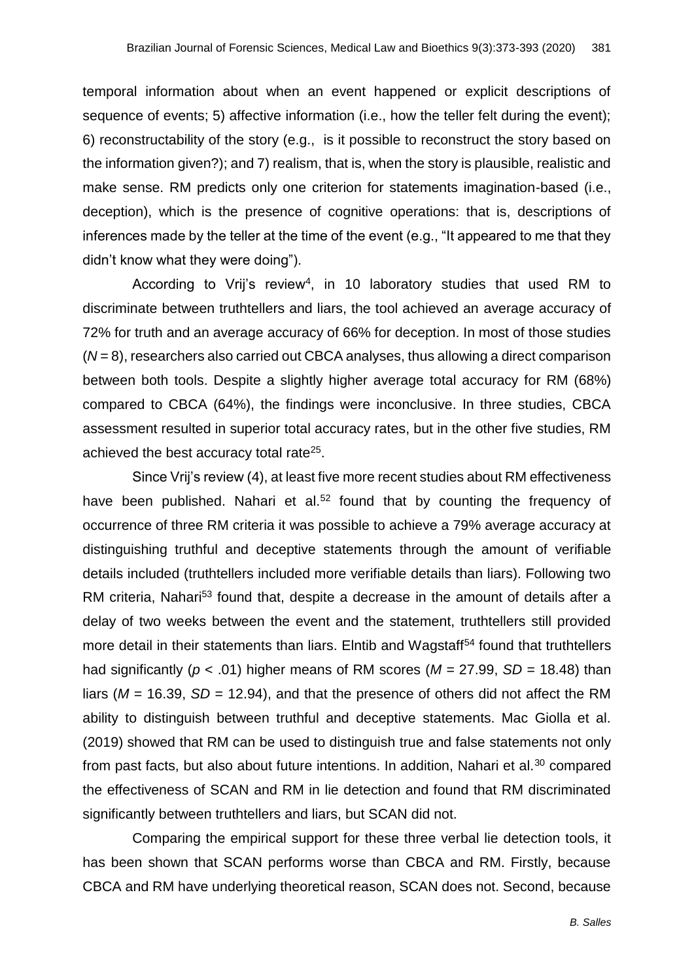temporal information about when an event happened or explicit descriptions of sequence of events; 5) affective information (i.e., how the teller felt during the event); 6) reconstructability of the story (e.g., is it possible to reconstruct the story based on the information given?); and 7) realism, that is, when the story is plausible, realistic and make sense. RM predicts only one criterion for statements imagination-based (i.e., deception), which is the presence of cognitive operations: that is, descriptions of inferences made by the teller at the time of the event (e.g., "It appeared to me that they didn't know what they were doing").

According to Vrij's review<sup>4</sup>, in 10 laboratory studies that used RM to discriminate between truthtellers and liars, the tool achieved an average accuracy of 72% for truth and an average accuracy of 66% for deception. In most of those studies (*N* = 8), researchers also carried out CBCA analyses, thus allowing a direct comparison between both tools. Despite a slightly higher average total accuracy for RM (68%) compared to CBCA (64%), the findings were inconclusive. In three studies, CBCA assessment resulted in superior total accuracy rates, but in the other five studies, RM achieved the best accuracy total rate<sup>25</sup>.

Since Vrij's review (4), at least five more recent studies about RM effectiveness have been published. Nahari et al.<sup>52</sup> found that by counting the frequency of occurrence of three RM criteria it was possible to achieve a 79% average accuracy at distinguishing truthful and deceptive statements through the amount of verifiable details included (truthtellers included more verifiable details than liars). Following two RM criteria, Nahari<sup>53</sup> found that, despite a decrease in the amount of details after a delay of two weeks between the event and the statement, truthtellers still provided more detail in their statements than liars. Elntib and Wagstaff<sup>54</sup> found that truthtellers had significantly ( $p < .01$ ) higher means of RM scores ( $M = 27.99$ ,  $SD = 18.48$ ) than liars ( $M = 16.39$ ,  $SD = 12.94$ ), and that the presence of others did not affect the RM ability to distinguish between truthful and deceptive statements. Mac Giolla et al. (2019) showed that RM can be used to distinguish true and false statements not only from past facts, but also about future intentions. In addition, Nahari et al.<sup>30</sup> compared the effectiveness of SCAN and RM in lie detection and found that RM discriminated significantly between truthtellers and liars, but SCAN did not.

Comparing the empirical support for these three verbal lie detection tools, it has been shown that SCAN performs worse than CBCA and RM. Firstly, because CBCA and RM have underlying theoretical reason, SCAN does not. Second, because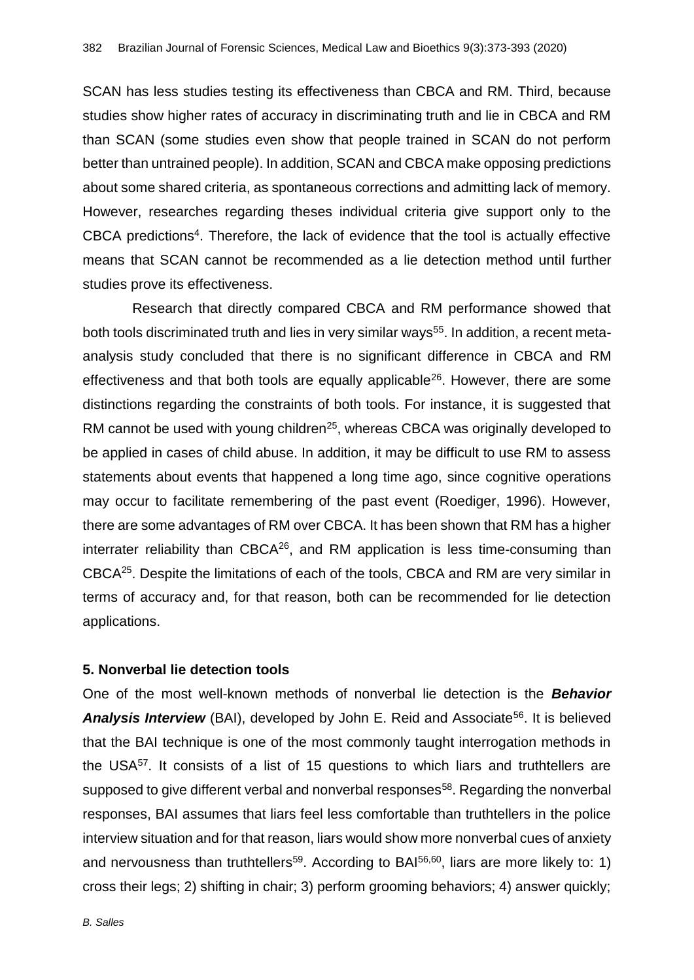SCAN has less studies testing its effectiveness than CBCA and RM. Third, because studies show higher rates of accuracy in discriminating truth and lie in CBCA and RM than SCAN (some studies even show that people trained in SCAN do not perform better than untrained people). In addition, SCAN and CBCA make opposing predictions about some shared criteria, as spontaneous corrections and admitting lack of memory. However, researches regarding theses individual criteria give support only to the CBCA predictions<sup>4</sup>. Therefore, the lack of evidence that the tool is actually effective means that SCAN cannot be recommended as a lie detection method until further studies prove its effectiveness.

Research that directly compared CBCA and RM performance showed that both tools discriminated truth and lies in very similar ways<sup>55</sup>. In addition, a recent metaanalysis study concluded that there is no significant difference in CBCA and RM effectiveness and that both tools are equally applicable<sup>26</sup>. However, there are some distinctions regarding the constraints of both tools. For instance, it is suggested that RM cannot be used with young children<sup>25</sup>, whereas CBCA was originally developed to be applied in cases of child abuse. In addition, it may be difficult to use RM to assess statements about events that happened a long time ago, since cognitive operations may occur to facilitate remembering of the past event (Roediger, 1996). However, there are some advantages of RM over CBCA. It has been shown that RM has a higher interrater reliability than  $CBCA^{26}$ , and RM application is less time-consuming than CBCA<sup>25</sup>. Despite the limitations of each of the tools, CBCA and RM are very similar in terms of accuracy and, for that reason, both can be recommended for lie detection applications.

# **5. Nonverbal lie detection tools**

One of the most well-known methods of nonverbal lie detection is the *Behavior*  **Analysis Interview** (BAI), developed by John E. Reid and Associate<sup>56</sup>. It is believed that the BAI technique is one of the most commonly taught interrogation methods in the USA $57$ . It consists of a list of 15 questions to which liars and truthtellers are supposed to give different verbal and nonverbal responses<sup>58</sup>. Regarding the nonverbal responses, BAI assumes that liars feel less comfortable than truthtellers in the police interview situation and for that reason, liars would show more nonverbal cues of anxiety and nervousness than truthtellers<sup>59</sup>. According to BA $1^{56,60}$ , liars are more likely to: 1) cross their legs; 2) shifting in chair; 3) perform grooming behaviors; 4) answer quickly;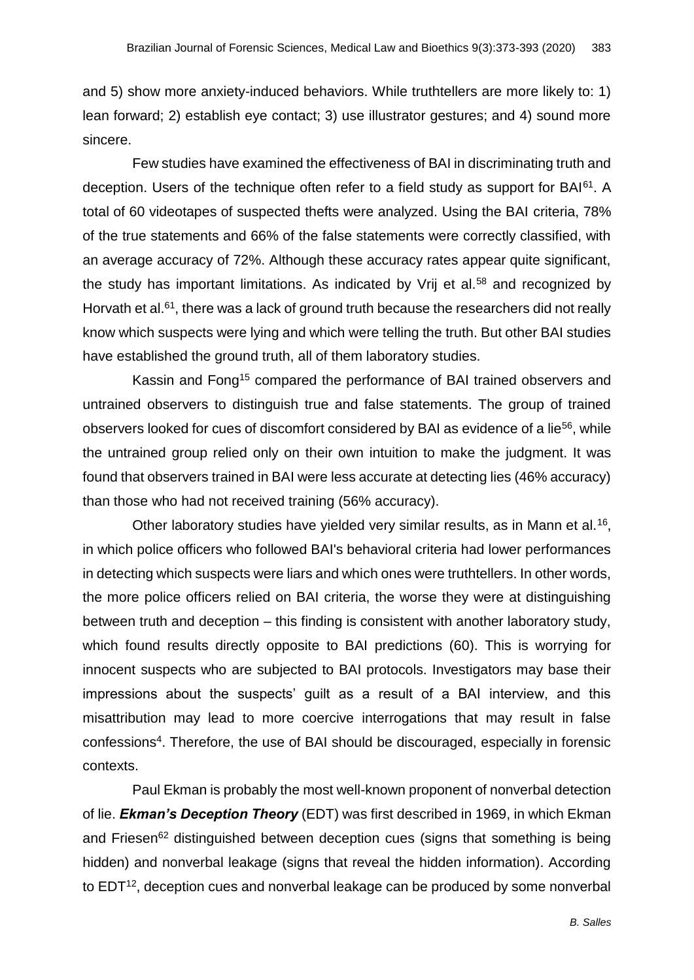and 5) show more anxiety-induced behaviors. While truthtellers are more likely to: 1) lean forward; 2) establish eye contact; 3) use illustrator gestures; and 4) sound more sincere.

Few studies have examined the effectiveness of BAI in discriminating truth and deception. Users of the technique often refer to a field study as support for BAI<sup>61</sup>. A total of 60 videotapes of suspected thefts were analyzed. Using the BAI criteria, 78% of the true statements and 66% of the false statements were correctly classified, with an average accuracy of 72%. Although these accuracy rates appear quite significant, the study has important limitations. As indicated by Vrij et al.<sup>58</sup> and recognized by Horvath et al.<sup>61</sup>, there was a lack of ground truth because the researchers did not really know which suspects were lying and which were telling the truth. But other BAI studies have established the ground truth, all of them laboratory studies.

Kassin and Fong<sup>15</sup> compared the performance of BAI trained observers and untrained observers to distinguish true and false statements. The group of trained observers looked for cues of discomfort considered by BAI as evidence of a lie<sup>56</sup>, while the untrained group relied only on their own intuition to make the judgment. It was found that observers trained in BAI were less accurate at detecting lies (46% accuracy) than those who had not received training (56% accuracy).

Other laboratory studies have yielded very similar results, as in Mann et al.<sup>16</sup>, in which police officers who followed BAI's behavioral criteria had lower performances in detecting which suspects were liars and which ones were truthtellers. In other words, the more police officers relied on BAI criteria, the worse they were at distinguishing between truth and deception – this finding is consistent with another laboratory study, which found results directly opposite to BAI predictions (60). This is worrying for innocent suspects who are subjected to BAI protocols. Investigators may base their impressions about the suspects' guilt as a result of a BAI interview, and this misattribution may lead to more coercive interrogations that may result in false confessions<sup>4</sup>. Therefore, the use of BAI should be discouraged, especially in forensic contexts.

Paul Ekman is probably the most well-known proponent of nonverbal detection of lie. *Ekman's Deception Theory* (EDT) was first described in 1969, in which Ekman and Friesen<sup>62</sup> distinguished between deception cues (signs that something is being hidden) and nonverbal leakage (signs that reveal the hidden information). According to EDT<sup>12</sup>, deception cues and nonverbal leakage can be produced by some nonverbal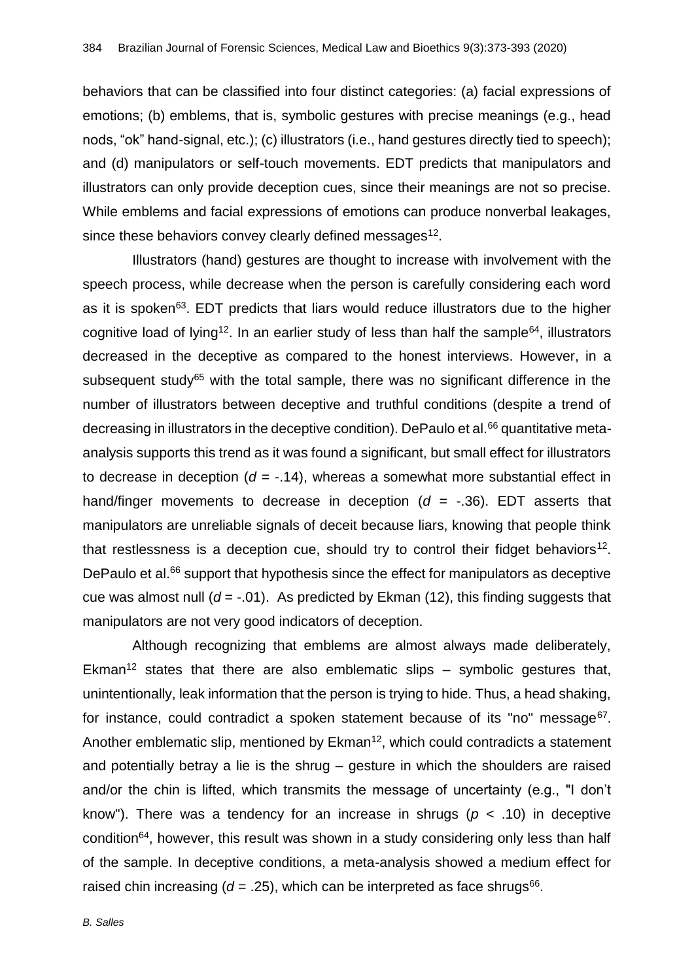behaviors that can be classified into four distinct categories: (a) facial expressions of emotions; (b) emblems, that is, symbolic gestures with precise meanings (e.g., head nods, "ok" hand-signal, etc.); (c) illustrators (i.e., hand gestures directly tied to speech); and (d) manipulators or self-touch movements. EDT predicts that manipulators and illustrators can only provide deception cues, since their meanings are not so precise. While emblems and facial expressions of emotions can produce nonverbal leakages, since these behaviors convey clearly defined messages<sup>12</sup>.

Illustrators (hand) gestures are thought to increase with involvement with the speech process, while decrease when the person is carefully considering each word as it is spoken $63$ . EDT predicts that liars would reduce illustrators due to the higher cognitive load of lying<sup>12</sup>. In an earlier study of less than half the sample<sup>64</sup>, illustrators decreased in the deceptive as compared to the honest interviews. However, in a subsequent study<sup>65</sup> with the total sample, there was no significant difference in the number of illustrators between deceptive and truthful conditions (despite a trend of decreasing in illustrators in the deceptive condition). DePaulo et al. $66$  quantitative metaanalysis supports this trend as it was found a significant, but small effect for illustrators to decrease in deception  $(d = -.14)$ , whereas a somewhat more substantial effect in hand/finger movements to decrease in deception  $(d = -.36)$ . EDT asserts that manipulators are unreliable signals of deceit because liars, knowing that people think that restlessness is a deception cue, should try to control their fidget behaviors<sup>12</sup>. DePaulo et al.<sup>66</sup> support that hypothesis since the effect for manipulators as deceptive cue was almost null  $(d = -0.01)$ . As predicted by Ekman  $(12)$ , this finding suggests that manipulators are not very good indicators of deception.

Although recognizing that emblems are almost always made deliberately, Ekman<sup>12</sup> states that there are also emblematic slips – symbolic gestures that, unintentionally, leak information that the person is trying to hide. Thus, a head shaking, for instance, could contradict a spoken statement because of its "no" message $67$ . Another emblematic slip, mentioned by  $E$ kman<sup>12</sup>, which could contradicts a statement and potentially betray a lie is the shrug – gesture in which the shoulders are raised and/or the chin is lifted, which transmits the message of uncertainty (e.g., "I don't know"). There was a tendency for an increase in shrugs (*p* < .10) in deceptive condition<sup>64</sup>, however, this result was shown in a study considering only less than half of the sample. In deceptive conditions, a meta-analysis showed a medium effect for raised chin increasing  $(d = .25)$ , which can be interpreted as face shrugs<sup>66</sup>.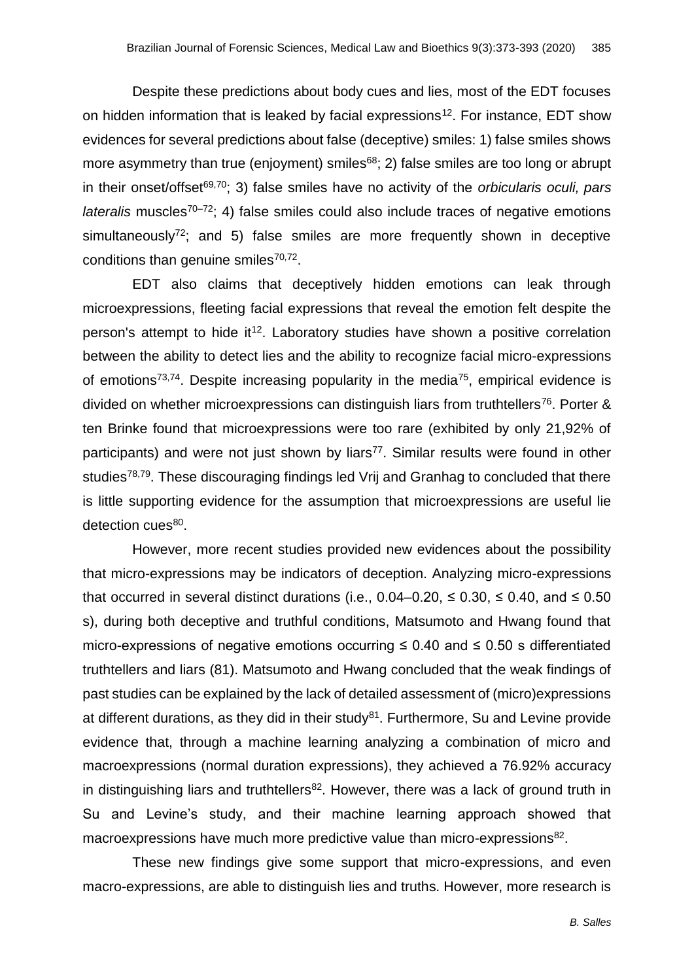Despite these predictions about body cues and lies, most of the EDT focuses on hidden information that is leaked by facial expressions<sup>12</sup>. For instance, EDT show evidences for several predictions about false (deceptive) smiles: 1) false smiles shows more asymmetry than true (enjoyment) smiles<sup>68</sup>; 2) false smiles are too long or abrupt in their onset/offset69,70; 3) false smiles have no activity of the *orbicularis oculi, pars lateralis* muscles<sup>70–72</sup>; 4) false smiles could also include traces of negative emotions simultaneously<sup>72</sup>; and 5) false smiles are more frequently shown in deceptive conditions than genuine smiles<sup>70,72</sup>.

EDT also claims that deceptively hidden emotions can leak through microexpressions, fleeting facial expressions that reveal the emotion felt despite the person's attempt to hide it<sup>12</sup>. Laboratory studies have shown a positive correlation between the ability to detect lies and the ability to recognize facial micro-expressions of emotions<sup>73,74</sup>. Despite increasing popularity in the media<sup>75</sup>, empirical evidence is divided on whether microexpressions can distinguish liars from truthtellers<sup>76</sup>. Porter & ten Brinke found that microexpressions were too rare (exhibited by only 21,92% of participants) and were not just shown by liars<sup>77</sup>. Similar results were found in other studies<sup>78,79</sup>. These discouraging findings led Vrij and Granhag to concluded that there is little supporting evidence for the assumption that microexpressions are useful lie detection cues<sup>80</sup>.

However, more recent studies provided new evidences about the possibility that micro-expressions may be indicators of deception. Analyzing micro-expressions that occurred in several distinct durations (i.e.,  $0.04-0.20$ ,  $\leq 0.30$ ,  $\leq 0.40$ , and  $\leq 0.50$ s), during both deceptive and truthful conditions, Matsumoto and Hwang found that micro-expressions of negative emotions occurring  $\leq$  0.40 and  $\leq$  0.50 s differentiated truthtellers and liars (81). Matsumoto and Hwang concluded that the weak findings of past studies can be explained by the lack of detailed assessment of (micro)expressions at different durations, as they did in their study $81$ . Furthermore, Su and Levine provide evidence that, through a machine learning analyzing a combination of micro and macroexpressions (normal duration expressions), they achieved a 76.92% accuracy in distinguishing liars and truthtellers<sup>82</sup>. However, there was a lack of ground truth in Su and Levine's study, and their machine learning approach showed that macroexpressions have much more predictive value than micro-expressions<sup>82</sup>.

These new findings give some support that micro-expressions, and even macro-expressions, are able to distinguish lies and truths. However, more research is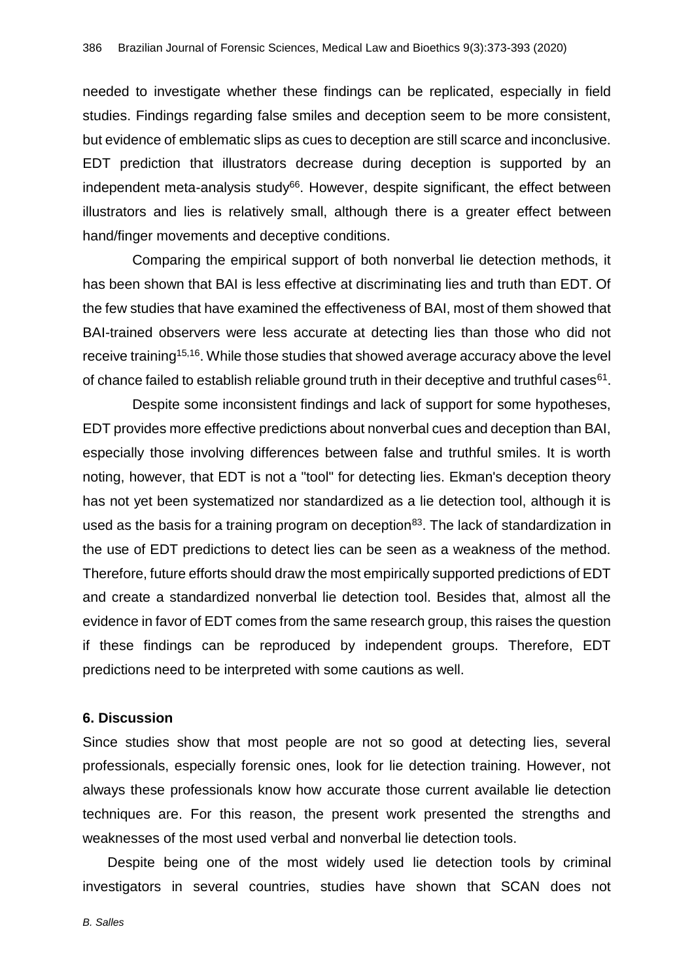needed to investigate whether these findings can be replicated, especially in field studies. Findings regarding false smiles and deception seem to be more consistent, but evidence of emblematic slips as cues to deception are still scarce and inconclusive. EDT prediction that illustrators decrease during deception is supported by an independent meta-analysis study $66$ . However, despite significant, the effect between illustrators and lies is relatively small, although there is a greater effect between hand/finger movements and deceptive conditions.

Comparing the empirical support of both nonverbal lie detection methods, it has been shown that BAI is less effective at discriminating lies and truth than EDT. Of the few studies that have examined the effectiveness of BAI, most of them showed that BAI-trained observers were less accurate at detecting lies than those who did not receive training<sup>15,16</sup>. While those studies that showed average accuracy above the level of chance failed to establish reliable ground truth in their deceptive and truthful cases $61$ .

Despite some inconsistent findings and lack of support for some hypotheses, EDT provides more effective predictions about nonverbal cues and deception than BAI, especially those involving differences between false and truthful smiles. It is worth noting, however, that EDT is not a "tool" for detecting lies. Ekman's deception theory has not yet been systematized nor standardized as a lie detection tool, although it is used as the basis for a training program on deception<sup>83</sup>. The lack of standardization in the use of EDT predictions to detect lies can be seen as a weakness of the method. Therefore, future efforts should draw the most empirically supported predictions of EDT and create a standardized nonverbal lie detection tool. Besides that, almost all the evidence in favor of EDT comes from the same research group, this raises the question if these findings can be reproduced by independent groups. Therefore, EDT predictions need to be interpreted with some cautions as well.

#### **6. Discussion**

Since studies show that most people are not so good at detecting lies, several professionals, especially forensic ones, look for lie detection training. However, not always these professionals know how accurate those current available lie detection techniques are. For this reason, the present work presented the strengths and weaknesses of the most used verbal and nonverbal lie detection tools.

Despite being one of the most widely used lie detection tools by criminal investigators in several countries, studies have shown that SCAN does not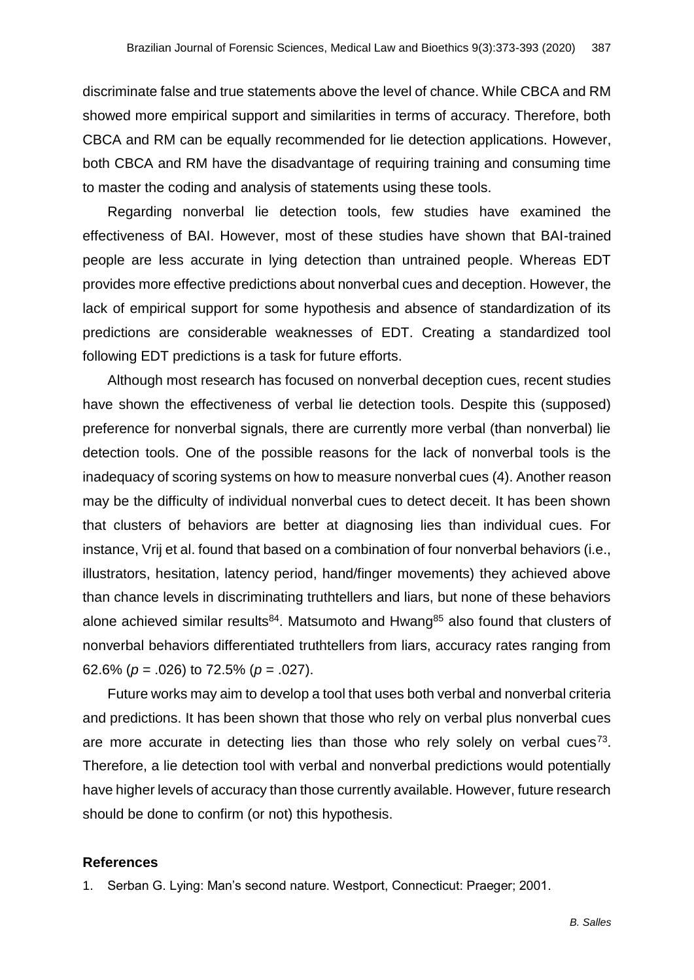discriminate false and true statements above the level of chance. While CBCA and RM showed more empirical support and similarities in terms of accuracy. Therefore, both CBCA and RM can be equally recommended for lie detection applications. However, both CBCA and RM have the disadvantage of requiring training and consuming time to master the coding and analysis of statements using these tools.

Regarding nonverbal lie detection tools, few studies have examined the effectiveness of BAI. However, most of these studies have shown that BAI-trained people are less accurate in lying detection than untrained people. Whereas EDT provides more effective predictions about nonverbal cues and deception. However, the lack of empirical support for some hypothesis and absence of standardization of its predictions are considerable weaknesses of EDT. Creating a standardized tool following EDT predictions is a task for future efforts.

Although most research has focused on nonverbal deception cues, recent studies have shown the effectiveness of verbal lie detection tools. Despite this (supposed) preference for nonverbal signals, there are currently more verbal (than nonverbal) lie detection tools. One of the possible reasons for the lack of nonverbal tools is the inadequacy of scoring systems on how to measure nonverbal cues (4). Another reason may be the difficulty of individual nonverbal cues to detect deceit. It has been shown that clusters of behaviors are better at diagnosing lies than individual cues. For instance, Vrij et al. found that based on a combination of four nonverbal behaviors (i.e., illustrators, hesitation, latency period, hand/finger movements) they achieved above than chance levels in discriminating truthtellers and liars, but none of these behaviors alone achieved similar results $84$ . Matsumoto and Hwang $85$  also found that clusters of nonverbal behaviors differentiated truthtellers from liars, accuracy rates ranging from 62.6% (*p* = .026) to 72.5% (*p* = .027).

Future works may aim to develop a tool that uses both verbal and nonverbal criteria and predictions. It has been shown that those who rely on verbal plus nonverbal cues are more accurate in detecting lies than those who rely solely on verbal cues<sup>73</sup>. Therefore, a lie detection tool with verbal and nonverbal predictions would potentially have higher levels of accuracy than those currently available. However, future research should be done to confirm (or not) this hypothesis.

#### **References**

1. Serban G. Lying: Man's second nature. Westport, Connecticut: Praeger; 2001.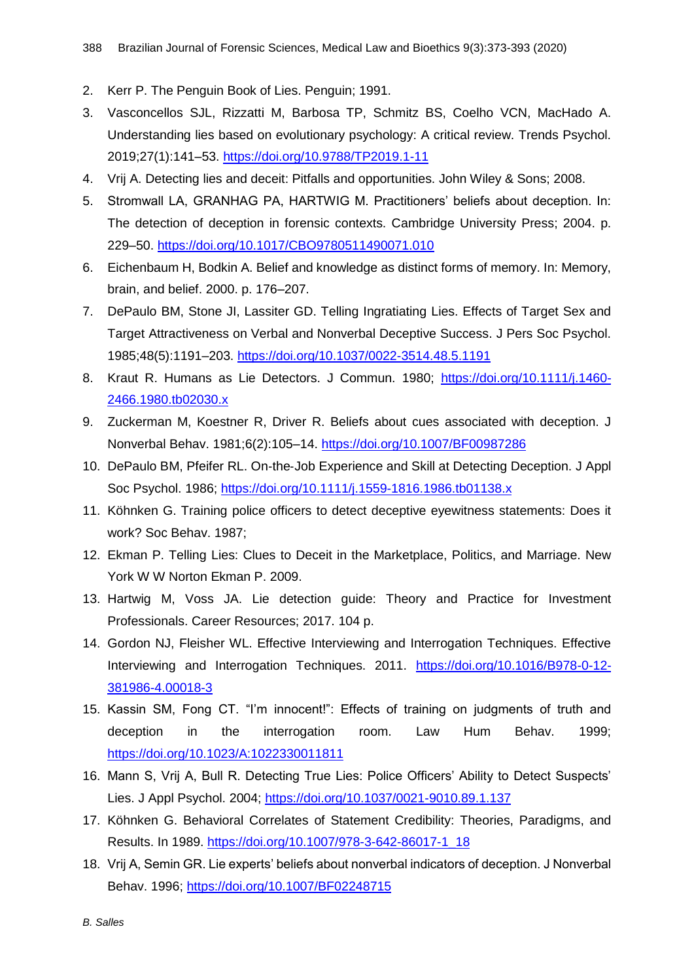- 2. Kerr P. The Penguin Book of Lies. Penguin; 1991.
- 3. Vasconcellos SJL, Rizzatti M, Barbosa TP, Schmitz BS, Coelho VCN, MacHado A. Understanding lies based on evolutionary psychology: A critical review. Trends Psychol. 2019;27(1):141–53.<https://doi.org/10.9788/TP2019.1-11>
- 4. Vrij A. Detecting lies and deceit: Pitfalls and opportunities. John Wiley & Sons; 2008.
- 5. Stromwall LA, GRANHAG PA, HARTWIG M. Practitioners' beliefs about deception. In: The detection of deception in forensic contexts. Cambridge University Press; 2004. p. 229–50.<https://doi.org/10.1017/CBO9780511490071.010>
- 6. Eichenbaum H, Bodkin A. Belief and knowledge as distinct forms of memory. In: Memory, brain, and belief. 2000. p. 176–207.
- 7. DePaulo BM, Stone JI, Lassiter GD. Telling Ingratiating Lies. Effects of Target Sex and Target Attractiveness on Verbal and Nonverbal Deceptive Success. J Pers Soc Psychol. 1985;48(5):1191–203.<https://doi.org/10.1037/0022-3514.48.5.1191>
- 8. Kraut R. Humans as Lie Detectors. J Commun. 1980; [https://doi.org/10.1111/j.1460-](https://doi.org/10.1111/j.1460-2466.1980.tb02030.x) [2466.1980.tb02030.x](https://doi.org/10.1111/j.1460-2466.1980.tb02030.x)
- 9. Zuckerman M, Koestner R, Driver R. Beliefs about cues associated with deception. J Nonverbal Behav. 1981;6(2):105–14.<https://doi.org/10.1007/BF00987286>
- 10. DePaulo BM, Pfeifer RL. On-the-Job Experience and Skill at Detecting Deception. J Appl Soc Psychol. 1986;<https://doi.org/10.1111/j.1559-1816.1986.tb01138.x>
- 11. Köhnken G. Training police officers to detect deceptive eyewitness statements: Does it work? Soc Behav. 1987;
- 12. Ekman P. Telling Lies: Clues to Deceit in the Marketplace, Politics, and Marriage. New York W W Norton Ekman P. 2009.
- 13. Hartwig M, Voss JA. Lie detection guide: Theory and Practice for Investment Professionals. Career Resources; 2017. 104 p.
- 14. Gordon NJ, Fleisher WL. Effective Interviewing and Interrogation Techniques. Effective Interviewing and Interrogation Techniques. 2011. [https://doi.org/10.1016/B978-0-12-](https://doi.org/10.1016/B978-0-12-381986-4.00018-3) [381986-4.00018-3](https://doi.org/10.1016/B978-0-12-381986-4.00018-3)
- 15. Kassin SM, Fong CT. "I'm innocent!": Effects of training on judgments of truth and deception in the interrogation room. Law Hum Behav. 1999; <https://doi.org/10.1023/A:1022330011811>
- 16. Mann S, Vrij A, Bull R. Detecting True Lies: Police Officers' Ability to Detect Suspects' Lies. J Appl Psychol. 2004;<https://doi.org/10.1037/0021-9010.89.1.137>
- 17. Köhnken G. Behavioral Correlates of Statement Credibility: Theories, Paradigms, and Results. In 1989. [https://doi.org/10.1007/978-3-642-86017-1\\_18](https://doi.org/10.1007/978-3-642-86017-1_18)
- 18. Vrij A, Semin GR. Lie experts' beliefs about nonverbal indicators of deception. J Nonverbal Behav. 1996;<https://doi.org/10.1007/BF02248715>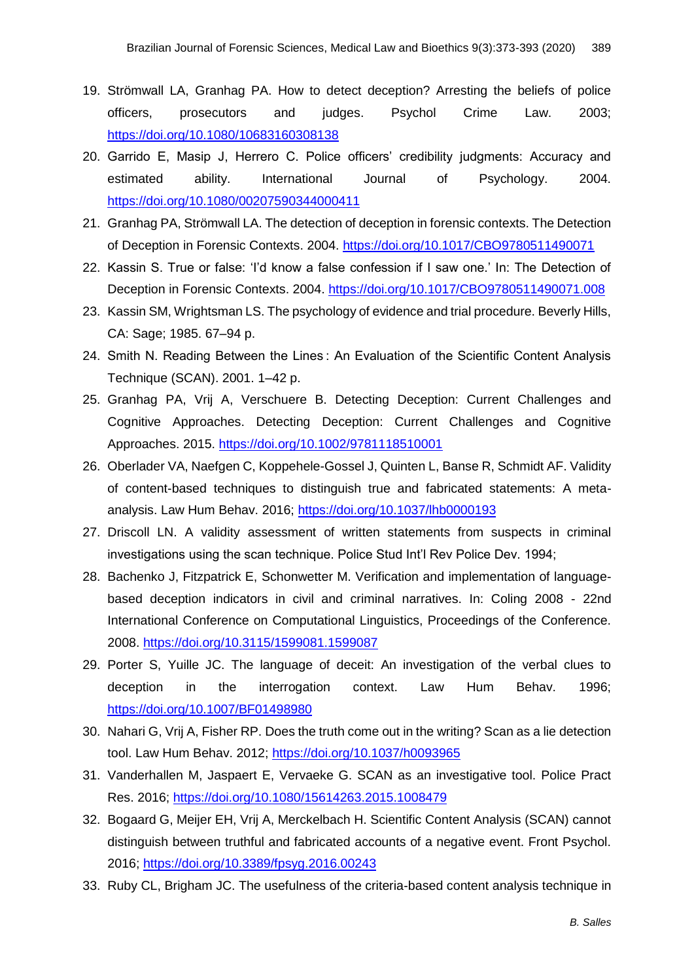- 19. Strömwall LA, Granhag PA. How to detect deception? Arresting the beliefs of police officers, prosecutors and judges. Psychol Crime Law. 2003; <https://doi.org/10.1080/10683160308138>
- 20. Garrido E, Masip J, Herrero C. Police officers' credibility judgments: Accuracy and estimated ability. International Journal of Psychology. 2004. <https://doi.org/10.1080/00207590344000411>
- 21. Granhag PA, Strömwall LA. The detection of deception in forensic contexts. The Detection of Deception in Forensic Contexts. 2004.<https://doi.org/10.1017/CBO9780511490071>
- 22. Kassin S. True or false: 'I'd know a false confession if I saw one.' In: The Detection of Deception in Forensic Contexts. 2004.<https://doi.org/10.1017/CBO9780511490071.008>
- 23. Kassin SM, Wrightsman LS. The psychology of evidence and trial procedure. Beverly Hills, CA: Sage; 1985. 67–94 p.
- 24. Smith N. Reading Between the Lines : An Evaluation of the Scientific Content Analysis Technique (SCAN). 2001. 1–42 p.
- 25. Granhag PA, Vrij A, Verschuere B. Detecting Deception: Current Challenges and Cognitive Approaches. Detecting Deception: Current Challenges and Cognitive Approaches. 2015.<https://doi.org/10.1002/9781118510001>
- 26. Oberlader VA, Naefgen C, Koppehele-Gossel J, Quinten L, Banse R, Schmidt AF. Validity of content-based techniques to distinguish true and fabricated statements: A metaanalysis. Law Hum Behav. 2016;<https://doi.org/10.1037/lhb0000193>
- 27. Driscoll LN. A validity assessment of written statements from suspects in criminal investigations using the scan technique. Police Stud Int'l Rev Police Dev. 1994;
- 28. Bachenko J, Fitzpatrick E, Schonwetter M. Verification and implementation of languagebased deception indicators in civil and criminal narratives. In: Coling 2008 - 22nd International Conference on Computational Linguistics, Proceedings of the Conference. 2008.<https://doi.org/10.3115/1599081.1599087>
- 29. Porter S, Yuille JC. The language of deceit: An investigation of the verbal clues to deception in the interrogation context. Law Hum Behav. 1996; <https://doi.org/10.1007/BF01498980>
- 30. Nahari G, Vrij A, Fisher RP. Does the truth come out in the writing? Scan as a lie detection tool. Law Hum Behav. 2012;<https://doi.org/10.1037/h0093965>
- 31. Vanderhallen M, Jaspaert E, Vervaeke G. SCAN as an investigative tool. Police Pract Res. 2016;<https://doi.org/10.1080/15614263.2015.1008479>
- 32. Bogaard G, Meijer EH, Vrij A, Merckelbach H. Scientific Content Analysis (SCAN) cannot distinguish between truthful and fabricated accounts of a negative event. Front Psychol. 2016;<https://doi.org/10.3389/fpsyg.2016.00243>
- 33. Ruby CL, Brigham JC. The usefulness of the criteria-based content analysis technique in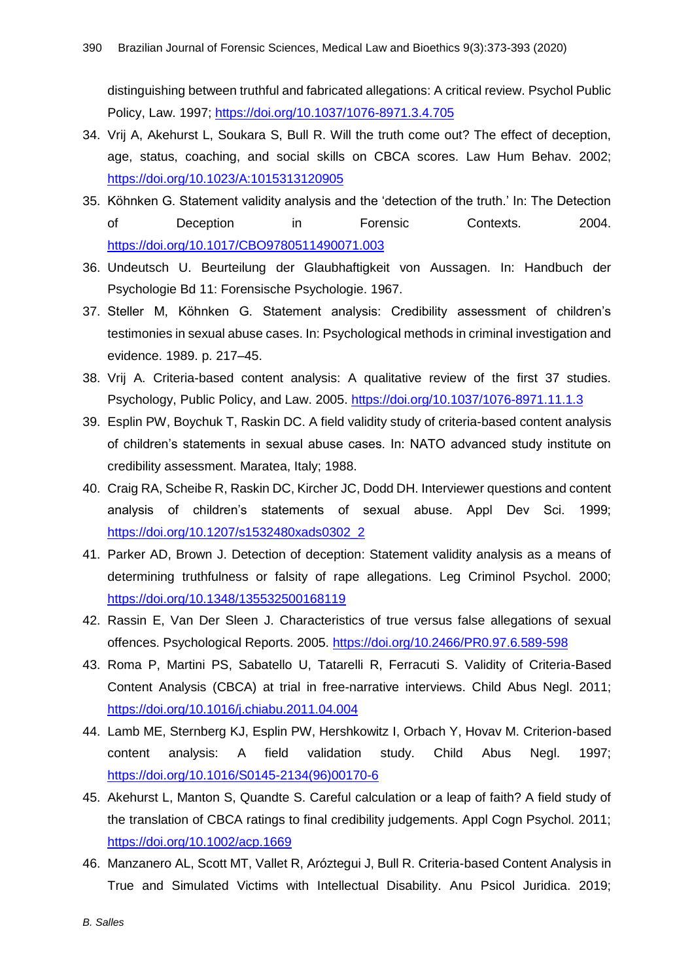distinguishing between truthful and fabricated allegations: A critical review. Psychol Public Policy, Law. 1997;<https://doi.org/10.1037/1076-8971.3.4.705>

- 34. Vrij A, Akehurst L, Soukara S, Bull R. Will the truth come out? The effect of deception, age, status, coaching, and social skills on CBCA scores. Law Hum Behav. 2002; <https://doi.org/10.1023/A:1015313120905>
- 35. Köhnken G. Statement validity analysis and the 'detection of the truth.' In: The Detection of Deception in Forensic Contexts. 2004. <https://doi.org/10.1017/CBO9780511490071.003>
- 36. Undeutsch U. Beurteilung der Glaubhaftigkeit von Aussagen. In: Handbuch der Psychologie Bd 11: Forensische Psychologie. 1967.
- 37. Steller M, Köhnken G. Statement analysis: Credibility assessment of children's testimonies in sexual abuse cases. In: Psychological methods in criminal investigation and evidence. 1989. p. 217–45.
- 38. Vrij A. Criteria-based content analysis: A qualitative review of the first 37 studies. Psychology, Public Policy, and Law. 2005.<https://doi.org/10.1037/1076-8971.11.1.3>
- 39. Esplin PW, Boychuk T, Raskin DC. A field validity study of criteria-based content analysis of children's statements in sexual abuse cases. In: NATO advanced study institute on credibility assessment. Maratea, Italy; 1988.
- 40. Craig RA, Scheibe R, Raskin DC, Kircher JC, Dodd DH. Interviewer questions and content analysis of children's statements of sexual abuse. Appl Dev Sci. 1999; [https://doi.org/10.1207/s1532480xads0302\\_2](https://doi.org/10.1207/s1532480xads0302_2)
- 41. Parker AD, Brown J. Detection of deception: Statement validity analysis as a means of determining truthfulness or falsity of rape allegations. Leg Criminol Psychol. 2000; <https://doi.org/10.1348/135532500168119>
- 42. Rassin E, Van Der Sleen J. Characteristics of true versus false allegations of sexual offences. Psychological Reports. 2005.<https://doi.org/10.2466/PR0.97.6.589-598>
- 43. Roma P, Martini PS, Sabatello U, Tatarelli R, Ferracuti S. Validity of Criteria-Based Content Analysis (CBCA) at trial in free-narrative interviews. Child Abus Negl. 2011; <https://doi.org/10.1016/j.chiabu.2011.04.004>
- 44. Lamb ME, Sternberg KJ, Esplin PW, Hershkowitz I, Orbach Y, Hovav M. Criterion-based content analysis: A field validation study. Child Abus Negl. 1997; [https://doi.org/10.1016/S0145-2134\(96\)00170-6](https://doi.org/10.1016/S0145-2134(96)00170-6)
- 45. Akehurst L, Manton S, Quandte S. Careful calculation or a leap of faith? A field study of the translation of CBCA ratings to final credibility judgements. Appl Cogn Psychol. 2011; <https://doi.org/10.1002/acp.1669>
- 46. Manzanero AL, Scott MT, Vallet R, Aróztegui J, Bull R. Criteria-based Content Analysis in True and Simulated Victims with Intellectual Disability. Anu Psicol Juridica. 2019;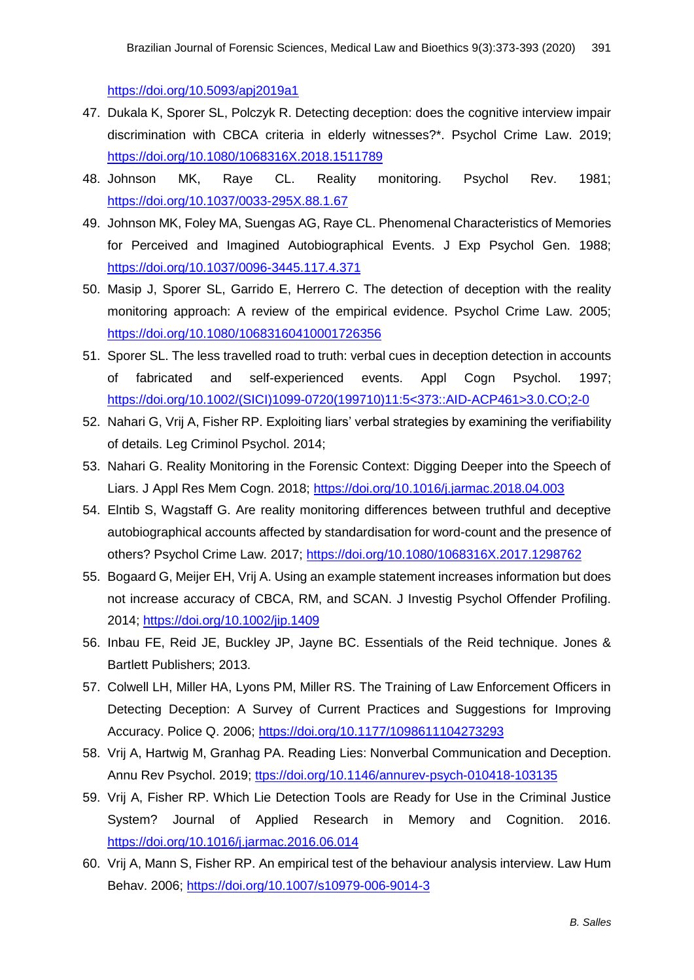<https://doi.org/10.5093/apj2019a1>

- 47. Dukala K, Sporer SL, Polczyk R. Detecting deception: does the cognitive interview impair discrimination with CBCA criteria in elderly witnesses?\*. Psychol Crime Law. 2019; <https://doi.org/10.1080/1068316X.2018.1511789>
- 48. Johnson MK, Raye CL. Reality monitoring. Psychol Rev. 1981; <https://doi.org/10.1037/0033-295X.88.1.67>
- 49. Johnson MK, Foley MA, Suengas AG, Raye CL. Phenomenal Characteristics of Memories for Perceived and Imagined Autobiographical Events. J Exp Psychol Gen. 1988; <https://doi.org/10.1037/0096-3445.117.4.371>
- 50. Masip J, Sporer SL, Garrido E, Herrero C. The detection of deception with the reality monitoring approach: A review of the empirical evidence. Psychol Crime Law. 2005; <https://doi.org/10.1080/10683160410001726356>
- 51. Sporer SL. The less travelled road to truth: verbal cues in deception detection in accounts of fabricated and self-experienced events. Appl Cogn Psychol. 1997; [https://doi.org/10.1002/\(SICI\)1099-0720\(199710\)11:5<373::AID-ACP461>3.0.CO;2-0](https://doi.org/10.1002/(SICI)1099-0720(199710)11:5%3C373::AID-ACP461%3E3.0.CO;2-0)
- 52. Nahari G, Vrij A, Fisher RP. Exploiting liars' verbal strategies by examining the verifiability of details. Leg Criminol Psychol. 2014;
- 53. Nahari G. Reality Monitoring in the Forensic Context: Digging Deeper into the Speech of Liars. J Appl Res Mem Cogn. 2018;<https://doi.org/10.1016/j.jarmac.2018.04.003>
- 54. Elntib S, Wagstaff G. Are reality monitoring differences between truthful and deceptive autobiographical accounts affected by standardisation for word-count and the presence of others? Psychol Crime Law. 2017;<https://doi.org/10.1080/1068316X.2017.1298762>
- 55. Bogaard G, Meijer EH, Vrij A. Using an example statement increases information but does not increase accuracy of CBCA, RM, and SCAN. J Investig Psychol Offender Profiling. 2014;<https://doi.org/10.1002/jip.1409>
- 56. Inbau FE, Reid JE, Buckley JP, Jayne BC. Essentials of the Reid technique. Jones & Bartlett Publishers; 2013.
- 57. Colwell LH, Miller HA, Lyons PM, Miller RS. The Training of Law Enforcement Officers in Detecting Deception: A Survey of Current Practices and Suggestions for Improving Accuracy. Police Q. 2006;<https://doi.org/10.1177/1098611104273293>
- 58. Vrij A, Hartwig M, Granhag PA. Reading Lies: Nonverbal Communication and Deception. Annu Rev Psychol. 2019; [ttps://doi.org/10.1146/annurev-psych-010418-103135](https://doi.org/10.1146/annurev-psych-010418-103135)
- 59. Vrij A, Fisher RP. Which Lie Detection Tools are Ready for Use in the Criminal Justice System? Journal of Applied Research in Memory and Cognition. 2016. <https://doi.org/10.1016/j.jarmac.2016.06.014>
- 60. Vrij A, Mann S, Fisher RP. An empirical test of the behaviour analysis interview. Law Hum Behav. 2006;<https://doi.org/10.1007/s10979-006-9014-3>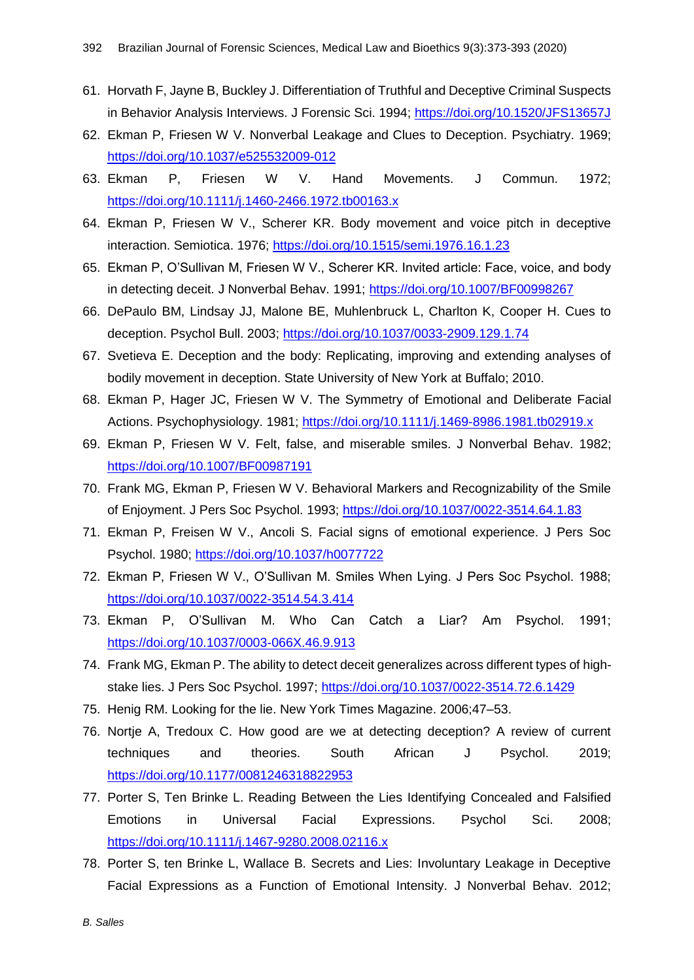- 61. Horvath F, Jayne B, Buckley J. Differentiation of Truthful and Deceptive Criminal Suspects in Behavior Analysis Interviews. J Forensic Sci. 1994;<https://doi.org/10.1520/JFS13657J>
- 62. Ekman P, Friesen W V. Nonverbal Leakage and Clues to Deception. Psychiatry. 1969; <https://doi.org/10.1037/e525532009-012>
- 63. Ekman P, Friesen W V. Hand Movements. J Commun. 1972; <https://doi.org/10.1111/j.1460-2466.1972.tb00163.x>
- 64. Ekman P, Friesen W V., Scherer KR. Body movement and voice pitch in deceptive interaction. Semiotica. 1976;<https://doi.org/10.1515/semi.1976.16.1.23>
- 65. Ekman P, O'Sullivan M, Friesen W V., Scherer KR. Invited article: Face, voice, and body in detecting deceit. J Nonverbal Behav. 1991;<https://doi.org/10.1007/BF00998267>
- 66. DePaulo BM, Lindsay JJ, Malone BE, Muhlenbruck L, Charlton K, Cooper H. Cues to deception. Psychol Bull. 2003;<https://doi.org/10.1037/0033-2909.129.1.74>
- 67. Svetieva E. Deception and the body: Replicating, improving and extending analyses of bodily movement in deception. State University of New York at Buffalo; 2010.
- 68. Ekman P, Hager JC, Friesen W V. The Symmetry of Emotional and Deliberate Facial Actions. Psychophysiology. 1981;<https://doi.org/10.1111/j.1469-8986.1981.tb02919.x>
- 69. Ekman P, Friesen W V. Felt, false, and miserable smiles. J Nonverbal Behav. 1982; <https://doi.org/10.1007/BF00987191>
- 70. Frank MG, Ekman P, Friesen W V. Behavioral Markers and Recognizability of the Smile of Enjoyment. J Pers Soc Psychol. 1993;<https://doi.org/10.1037/0022-3514.64.1.83>
- 71. Ekman P, Freisen W V., Ancoli S. Facial signs of emotional experience. J Pers Soc Psychol. 1980;<https://doi.org/10.1037/h0077722>
- 72. Ekman P, Friesen W V., O'Sullivan M. Smiles When Lying. J Pers Soc Psychol. 1988; <https://doi.org/10.1037/0022-3514.54.3.414>
- 73. Ekman P, O'Sullivan M. Who Can Catch a Liar? Am Psychol. 1991; <https://doi.org/10.1037/0003-066X.46.9.913>
- 74. Frank MG, Ekman P. The ability to detect deceit generalizes across different types of highstake lies. J Pers Soc Psychol. 1997;<https://doi.org/10.1037/0022-3514.72.6.1429>
- 75. Henig RM. Looking for the lie. New York Times Magazine. 2006;47–53.
- 76. Nortje A, Tredoux C. How good are we at detecting deception? A review of current techniques and theories. South African J Psychol. 2019; <https://doi.org/10.1177/0081246318822953>
- 77. Porter S, Ten Brinke L. Reading Between the Lies Identifying Concealed and Falsified Emotions in Universal Facial Expressions. Psychol Sci. 2008; <https://doi.org/10.1111/j.1467-9280.2008.02116.x>
- 78. Porter S, ten Brinke L, Wallace B. Secrets and Lies: Involuntary Leakage in Deceptive Facial Expressions as a Function of Emotional Intensity. J Nonverbal Behav. 2012;